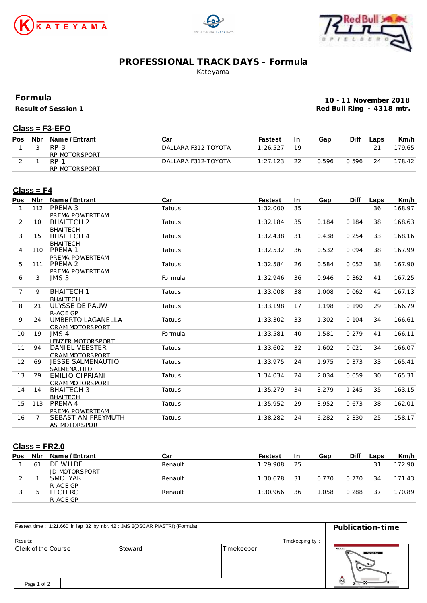





## **PROFESSIONAL TRACK DAYS - Formula**

Kateyama

**Formula**

**Result of Session 1**

**10 - 11 November 2018 Red Bull Ring - 4318 mtr.**

#### **Class = F3-EFO**

| <b>Pos</b> | Nbr | Name / Entrant | Car                 | Fastest  | In | Gap   | Diff  | _aps | Km/h   |
|------------|-----|----------------|---------------------|----------|----|-------|-------|------|--------|
|            |     | $RP-3$         | DALLARA F312-TOYOTA | 1:26.527 |    |       |       |      | 179.65 |
|            |     | RP MOTORSPORT  |                     |          |    |       |       |      |        |
|            |     | $RP-1$         | DALLARA F312-TOYOTA | 1:27.123 |    | 0.596 | 0.596 | 24   | 178.42 |
|            |     | RP MOTORSPORT  |                     |          |    |       |       |      |        |

#### **Class = F4**

| Pos            | <b>Nbr</b> | Name / Entrant           | Car     | <b>Fastest</b> | In | Gap   | <b>Diff</b> | Laps | Km/h   |
|----------------|------------|--------------------------|---------|----------------|----|-------|-------------|------|--------|
| 1              | 112        | PREMA 3                  | Tatuus  | 1:32.000       | 35 |       |             | 36   | 168.97 |
|                |            | PREMA POWERTEAM          |         |                |    |       |             |      |        |
| 2              | 10         | <b>BHAITECH 2</b>        | Tatuus  | 1:32.184       | 35 | 0.184 | 0.184       | 38   | 168.63 |
|                |            | <b>BHAITECH</b>          |         |                |    |       |             |      |        |
| 3              | 15         | <b>BHAITECH 4</b>        | Tatuus  | 1:32.438       | 31 | 0.438 | 0.254       | 33   | 168.16 |
|                |            | <b>BHAITECH</b>          |         |                |    |       |             |      |        |
| 4              | 110        | PREMA 1                  | Tatuus  | 1:32.532       | 36 | 0.532 | 0.094       | 38   | 167.99 |
|                |            | PREMA POWERTEAM          |         |                |    |       |             |      |        |
| 5              | 111        | PREMA 2                  | Tatuus  | 1:32.584       | 26 | 0.584 | 0.052       | 38   | 167.90 |
|                |            | PREMA POWERTEAM          |         |                |    |       |             |      |        |
| 6              | 3          | JMS <sub>3</sub>         | Formula | 1:32.946       | 36 | 0.946 | 0.362       | 41   | 167.25 |
|                |            |                          |         |                |    |       |             |      |        |
| $\overline{7}$ | 9          | <b>BHAITECH 1</b>        | Tatuus  | 1:33.008       | 38 | 1.008 | 0.062       | 42   | 167.13 |
|                |            | <b>BHAITECH</b>          |         |                |    |       |             |      |        |
| 8              | 21         | ULYSSE DE PAUW           | Tatuus  | 1:33.198       | 17 | 1.198 | 0.190       | 29   | 166.79 |
|                |            | R-ACE GP                 |         |                |    |       |             |      |        |
| 9              | 24         | UMBERTO LAGANELLA        | Tatuus  | 1:33.302       | 33 | 1.302 | 0.104       | 34   | 166.61 |
|                |            | <b>CRAM MOTORSPORT</b>   |         |                |    |       |             |      |        |
| 10             | 19         | JMS <sub>4</sub>         | Formula | 1:33.581       | 40 | 1.581 | 0.279       | 41   | 166.11 |
|                |            | <b>JENZER MOTORSPORT</b> |         |                |    |       |             |      |        |
| 11             | 94         | DANIEL VEBSTER           | Tatuus  | 1:33.602       | 32 | 1.602 | 0.021       | 34   | 166.07 |
|                |            | <b>CRAM MOTORSPORT</b>   |         |                |    |       |             |      |        |
| 12             | 69         | <b>JESSE SALMENAUTIO</b> | Tatuus  | 1:33.975       | 24 | 1.975 | 0.373       | 33   | 165.41 |
|                |            | SALMENAUTIO              |         |                |    |       |             |      |        |
| 13             | 29         | <b>EMILIO CIPRIANI</b>   | Tatuus  | 1:34.034       | 24 | 2.034 | 0.059       | 30   | 165.31 |
|                |            | <b>CRAM MOTORSPORT</b>   |         |                |    |       |             |      |        |
| 14             | 14         | <b>BHAITECH 3</b>        | Tatuus  | 1:35.279       | 34 | 3.279 | 1.245       | 35   | 163.15 |
|                |            | <b>BHAITECH</b>          |         |                |    |       |             |      |        |
| 15             | 113        | PREMA 4                  | Tatuus  | 1:35.952       | 29 | 3.952 | 0.673       | 38   | 162.01 |
|                |            | PREMA POWERTEAM          |         |                |    |       |             |      |        |
| 16             | 7          | SEBASTIAN FREYMUTH       | Tatuus  | 1:38.282       | 24 | 6.282 | 2.330       | 25   | 158.17 |
|                |            | AS MOTORSPORT            |         |                |    |       |             |      |        |

#### **Class = FR2.0**

| Pos    | Nbr            | Name / Entrant       | Car     | <b>Fastest</b> | 1n | Gap   | <b>Diff</b> | Laps | Km/h   |
|--------|----------------|----------------------|---------|----------------|----|-------|-------------|------|--------|
|        | 6 <sup>7</sup> | DE WILDE             | Renault | 1:29.908       | 25 |       |             | 21   | 172.90 |
|        |                | <b>JD MOTORSPORT</b> |         |                |    |       |             |      |        |
| $\sim$ |                | <b>SMOLYAR</b>       | Renault | 1:30.678       | 31 | 0.770 | 0.770       | 34   | 171.43 |
|        |                | R-ACE GP             |         |                |    |       |             |      |        |
|        |                | ECLERC.              | Renault | 1:30.966       | 36 | .058  | 0.288       | 37   | 170.89 |
|        |                | R-ACE GP             |         |                |    |       |             |      |        |

| Fastest time: 1:21.660 in lap 32 by nbr. 42 : JMS 2(OSCAR PIASTRI) (Formula) | Publication-time |         |            |                                                                               |
|------------------------------------------------------------------------------|------------------|---------|------------|-------------------------------------------------------------------------------|
| Results:                                                                     | Timekeeping by:  |         |            |                                                                               |
| Clerk of the Course                                                          |                  | Steward | Timekeeper | C<br>Red Bull Ring<br>$\mathbf{H}$                                            |
| Page 1 of 2                                                                  |                  |         |            | $\bar{\bm{\omega}}$<br><b>Burney</b><br><b><i>BELIZEYOUR DRIVELSOMETH</i></b> |